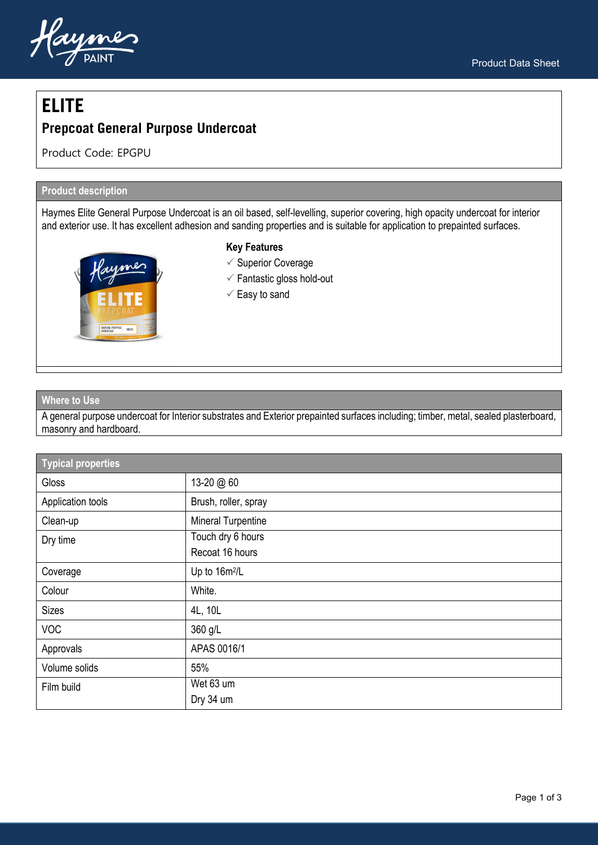

# **ELITE**

# **Prepcoat General Purpose Undercoat**

Product Code: EPGPU

## **Product description**

Haymes Elite General Purpose Undercoat is an oil based, self-levelling, superior covering, high opacity undercoat for interior and exterior use. It has excellent adhesion and sanding properties and is suitable for application to prepainted surfaces.



#### **Key Features**

- $\checkmark$  Superior Coverage
- $\checkmark$  Fantastic gloss hold-out
- $\checkmark$  Easy to sand

#### **Where to Use**

A general purpose undercoat for Interior substrates and Exterior prepainted surfaces including; timber, metal, sealed plasterboard, masonry and hardboard.

| <b>Typical properties</b> |                           |  |
|---------------------------|---------------------------|--|
| Gloss                     | 13-20 @ 60                |  |
| Application tools         | Brush, roller, spray      |  |
| Clean-up                  | <b>Mineral Turpentine</b> |  |
| Dry time                  | Touch dry 6 hours         |  |
|                           | Recoat 16 hours           |  |
| Coverage                  | Up to 16m <sup>2</sup> /L |  |
| Colour                    | White.                    |  |
| <b>Sizes</b>              | 4L, 10L                   |  |
| <b>VOC</b>                | 360 g/L                   |  |
| Approvals                 | APAS 0016/1               |  |
| Volume solids             | 55%                       |  |
| Film build                | Wet 63 um                 |  |
|                           | Dry 34 um                 |  |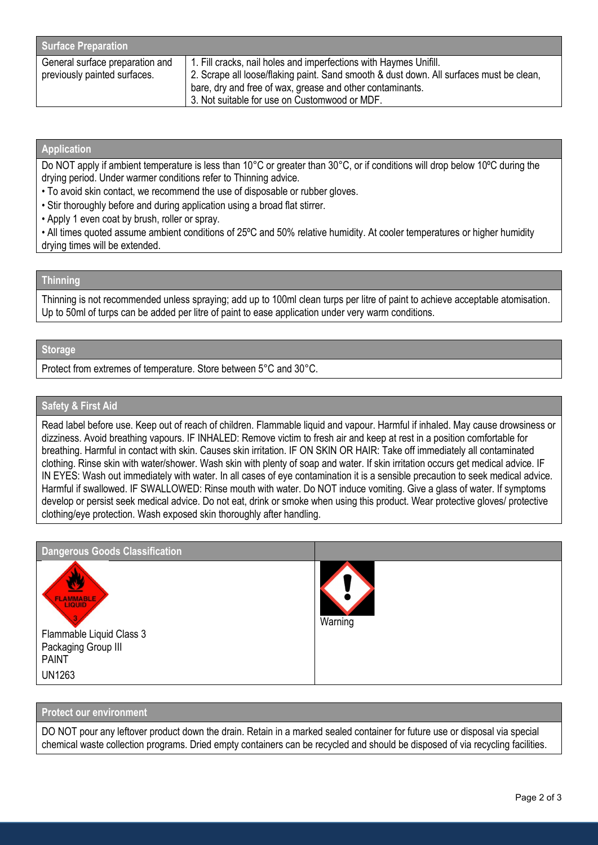| <b>Surface Preparation</b>      |                                                                                         |  |
|---------------------------------|-----------------------------------------------------------------------------------------|--|
| General surface preparation and | 1. Fill cracks, nail holes and imperfections with Haymes Unifill.                       |  |
| previously painted surfaces.    | 2. Scrape all loose/flaking paint. Sand smooth & dust down. All surfaces must be clean, |  |
|                                 | bare, dry and free of wax, grease and other contaminants.                               |  |
|                                 | 3. Not suitable for use on Customwood or MDF.                                           |  |

#### **Application**

Do NOT apply if ambient temperature is less than 10°C or greater than 30°C, or if conditions will drop below 10ºC during the drying period. Under warmer conditions refer to Thinning advice.

• To avoid skin contact, we recommend the use of disposable or rubber gloves.

- Stir thoroughly before and during application using a broad flat stirrer.
- Apply 1 even coat by brush, roller or spray.

• All times quoted assume ambient conditions of 25ºC and 50% relative humidity. At cooler temperatures or higher humidity drying times will be extended.

#### **Thinning**

Thinning is not recommended unless spraying; add up to 100ml clean turps per litre of paint to achieve acceptable atomisation. Up to 50ml of turps can be added per litre of paint to ease application under very warm conditions.

### **Storage**

Protect from extremes of temperature. Store between 5°C and 30°C.

#### **Safety & First Aid**

Read label before use. Keep out of reach of children. Flammable liquid and vapour. Harmful if inhaled. May cause drowsiness or dizziness. Avoid breathing vapours. IF INHALED: Remove victim to fresh air and keep at rest in a position comfortable for breathing. Harmful in contact with skin. Causes skin irritation. IF ON SKIN OR HAIR: Take off immediately all contaminated clothing. Rinse skin with water/shower. Wash skin with plenty of soap and water. If skin irritation occurs get medical advice. IF IN EYES: Wash out immediately with water. In all cases of eye contamination it is a sensible precaution to seek medical advice. Harmful if swallowed. IF SWALLOWED: Rinse mouth with water. Do NOT induce vomiting. Give a glass of water. If symptoms develop or persist seek medical advice. Do not eat, drink or smoke when using this product. Wear protective gloves/ protective clothing/eye protection. Wash exposed skin thoroughly after handling.

| <b>Dangerous Goods Classification</b>                                                                |         |
|------------------------------------------------------------------------------------------------------|---------|
| <b>FLAMMABLE</b><br>Flammable Liquid Class 3<br>Packaging Group III<br><b>PAINT</b><br><b>UN1263</b> | Warning |

#### **Protect our environment**

DO NOT pour any leftover product down the drain. Retain in a marked sealed container for future use or disposal via special chemical waste collection programs. Dried empty containers can be recycled and should be disposed of via recycling facilities.